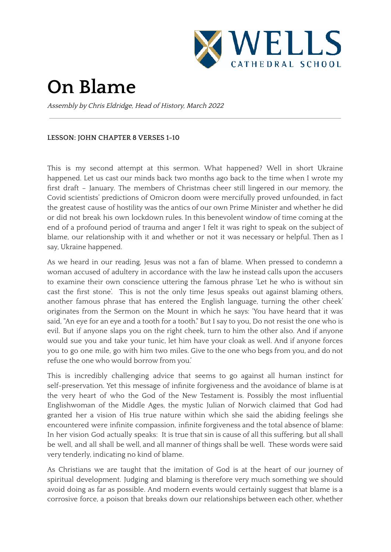

## **On Blame**

Assembly by Chris Eldridge, Head of History, March 2022

## **LESSON: JOHN CHAPTER 8 VERSES 1-10**

This is my second attempt at this sermon. What happened? Well in short Ukraine happened. Let us cast our minds back two months ago back to the time when I wrote my first draft – January. The members of Christmas cheer still lingered in our memory, the Covid scientists' predictions of Omicron doom were mercifully proved unfounded, in fact the greatest cause of hostility was the antics of our own Prime Minister and whether he did or did not break his own lockdown rules. In this benevolent window of time coming at the end of a profound period of trauma and anger I felt it was right to speak on the subject of blame, our relationship with it and whether or not it was necessary or helpful. Then as I say, Ukraine happened.

As we heard in our reading, Jesus was not a fan of blame. When pressed to condemn a woman accused of adultery in accordance with the law he instead calls upon the accusers to examine their own conscience uttering the famous phrase 'Let he who is without sin cast the first stone'. This is not the only time Jesus speaks out against blaming others, another famous phrase that has entered the English language, turning the other cheek' originates from the Sermon on the Mount in which he says: 'You have heard that it was said, "An eye for an eye and a tooth for a tooth." But I say to you, Do not resist the one who is evil. But if anyone slaps you on the right cheek, turn to him the other also. And if anyone would sue you and take your tunic, let him have your cloak as well. And if anyone forces you to go one mile, go with him two miles. Give to the one who begs from you, and do not refuse the one who would borrow from you.'

This is incredibly challenging advice that seems to go against all human instinct for self-preservation. Yet this message of infinite forgiveness and the avoidance of blame is at the very heart of who the God of the New Testament is. Possibly the most influential Englishwoman of the Middle Ages, the mystic Julian of Norwich claimed that God had granted her a vision of His true nature within which she said the abiding feelings she encountered were infinite compassion, infinite forgiveness and the total absence of blame: In her vision God actually speaks: It is true that sin is cause of all this suffering, but all shall be well, and all shall be well, and all manner of things shall be well. These words were said very tenderly, indicating no kind of blame.

As Christians we are taught that the imitation of God is at the heart of our journey of spiritual development. Judging and blaming is therefore very much something we should avoid doing as far as possible. And modern events would certainly suggest that blame is a corrosive force, a poison that breaks down our relationships between each other, whether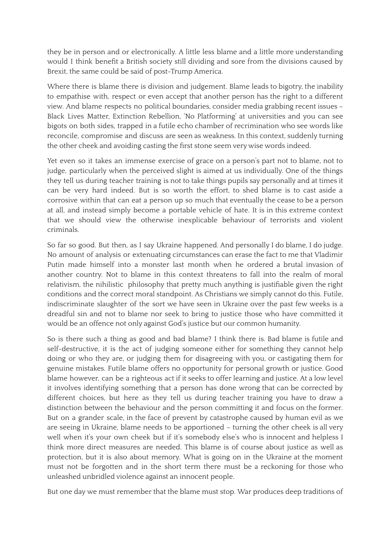they be in person and or electronically. A little less blame and a little more understanding would I think benefit a British society still dividing and sore from the divisions caused by Brexit, the same could be said of post-Trump America.

Where there is blame there is division and judgement. Blame leads to bigotry, the inability to empathise with, respect or even accept that another person has the right to a different view. And blame respects no political boundaries, consider media grabbing recent issues – Black Lives Matter, Extinction Rebellion, 'No Platforming' at universities and you can see bigots on both sides, trapped in a futile echo chamber of recrimination who see words like reconcile, compromise and discuss are seen as weakness. In this context, suddenly turning the other cheek and avoiding casting the first stone seem very wise words indeed.

Yet even so it takes an immense exercise of grace on a person's part not to blame, not to judge, particularly when the perceived slight is aimed at us individually. One of the things they tell us during teacher training is not to take things pupils say personally and at times it can be very hard indeed. But is so worth the effort, to shed blame is to cast aside a corrosive within that can eat a person up so much that eventually the cease to be a person at all, and instead simply become a portable vehicle of hate. It is in this extreme context that we should view the otherwise inexplicable behaviour of terrorists and violent criminals.

So far so good. But then, as I say Ukraine happened. And personally I do blame, I do judge. No amount of analysis or extenuating circumstances can erase the fact to me that Vladimir Putin made himself into a monster last month when he ordered a brutal invasion of another country. Not to blame in this context threatens to fall into the realm of moral relativism, the nihilistic philosophy that pretty much anything is justifiable given the right conditions and the correct moral standpoint. As Christians we simply cannot do this. Futile, indiscriminate slaughter of the sort we have seen in Ukraine over the past few weeks is a dreadful sin and not to blame nor seek to bring to justice those who have committed it would be an offence not only against God's justice but our common humanity.

So is there such a thing as good and bad blame? I think there is. Bad blame is futile and self-destructive, it is the act of judging someone either for something they cannot help doing or who they are, or judging them for disagreeing with you, or castigating them for genuine mistakes. Futile blame offers no opportunity for personal growth or justice. Good blame however, can be a righteous act if it seeks to offer learning and justice. At a low level it involves identifying something that a person has done wrong that can be corrected by different choices, but here as they tell us during teacher training you have to draw a distinction between the behaviour and the person committing it and focus on the former. But on a grander scale, in the face of prevent by catastrophe caused by human evil as we are seeing in Ukraine, blame needs to be apportioned – turning the other cheek is all very well when it's your own cheek but if it's somebody else's who is innocent and helpless I think more direct measures are needed. This blame is of course about justice as well as protection, but it is also about memory. What is going on in the Ukraine at the moment must not be forgotten and in the short term there must be a reckoning for those who unleashed unbridled violence against an innocent people.

But one day we must remember that the blame must stop. War produces deep traditions of